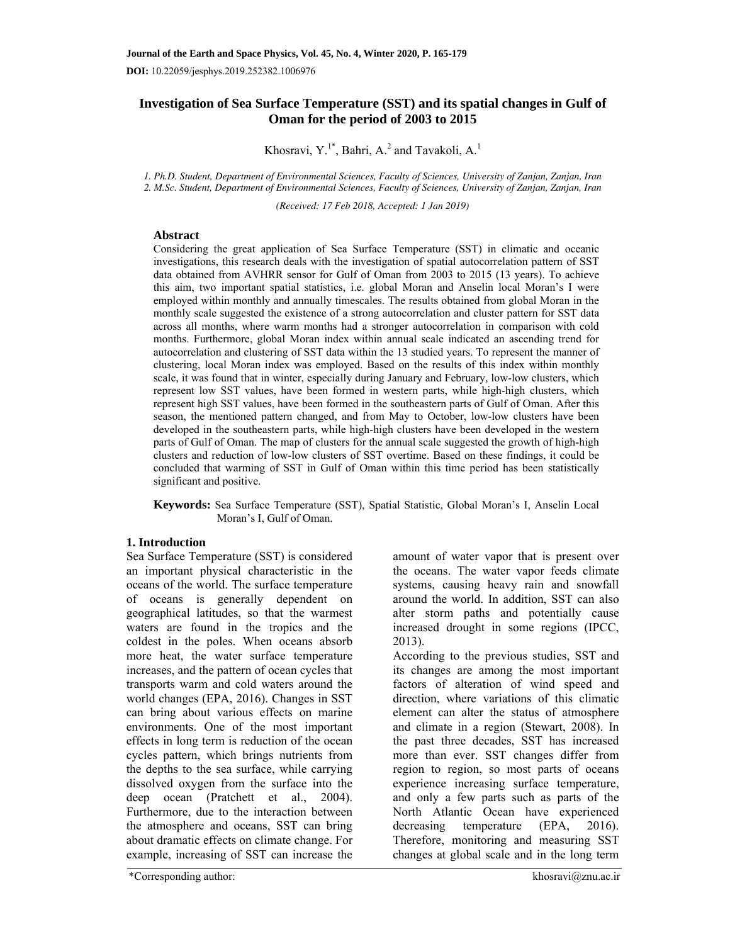# **Investigation of Sea Surface Temperature (SST) and its spatial changes in Gulf of Oman for the period of 2003 to 2015**

Khosravi,  $Y^{1*}$ , Bahri, A.<sup>2</sup> and Tavakoli, A.<sup>1</sup>

*1. Ph.D. Student, Department of Environmental Sciences, Faculty of Sciences, University of Zanjan, Zanjan, Iran 2. M.Sc. Student, Department of Environmental Sciences, Faculty of Sciences, University of Zanjan, Zanjan, Iran* 

*(Received: 17 Feb 2018, Accepted: 1 Jan 2019)* 

#### **Abstract**

Considering the great application of Sea Surface Temperature (SST) in climatic and oceanic investigations, this research deals with the investigation of spatial autocorrelation pattern of SST data obtained from AVHRR sensor for Gulf of Oman from 2003 to 2015 (13 years). To achieve this aim, two important spatial statistics, i.e. global Moran and Anselin local Moran's I were employed within monthly and annually timescales. The results obtained from global Moran in the monthly scale suggested the existence of a strong autocorrelation and cluster pattern for SST data across all months, where warm months had a stronger autocorrelation in comparison with cold months. Furthermore, global Moran index within annual scale indicated an ascending trend for autocorrelation and clustering of SST data within the 13 studied years. To represent the manner of clustering, local Moran index was employed. Based on the results of this index within monthly scale, it was found that in winter, especially during January and February, low-low clusters, which represent low SST values, have been formed in western parts, while high-high clusters, which represent high SST values, have been formed in the southeastern parts of Gulf of Oman. After this season, the mentioned pattern changed, and from May to October, low-low clusters have been developed in the southeastern parts, while high-high clusters have been developed in the western parts of Gulf of Oman. The map of clusters for the annual scale suggested the growth of high-high clusters and reduction of low-low clusters of SST overtime. Based on these findings, it could be concluded that warming of SST in Gulf of Oman within this time period has been statistically significant and positive.

**Keywords:** Sea Surface Temperature (SST), Spatial Statistic, Global Moran's I, Anselin Local Moran's I, Gulf of Oman.

# **1. Introduction**

Sea Surface Temperature (SST) is considered an important physical characteristic in the oceans of the world. The surface temperature of oceans is generally dependent on geographical latitudes, so that the warmest waters are found in the tropics and the coldest in the poles. When oceans absorb more heat, the water surface temperature increases, and the pattern of ocean cycles that transports warm and cold waters around the world changes (EPA, 2016). Changes in SST can bring about various effects on marine environments. One of the most important effects in long term is reduction of the ocean cycles pattern, which brings nutrients from the depths to the sea surface, while carrying dissolved oxygen from the surface into the deep ocean (Pratchett et al., 2004). Furthermore, due to the interaction between the atmosphere and oceans, SST can bring about dramatic effects on climate change. For example, increasing of SST can increase the

amount of water vapor that is present over the oceans. The water vapor feeds climate systems, causing heavy rain and snowfall around the world. In addition, SST can also alter storm paths and potentially cause increased drought in some regions (IPCC, 2013).

According to the previous studies, SST and its changes are among the most important factors of alteration of wind speed and direction, where variations of this climatic element can alter the status of atmosphere and climate in a region (Stewart, 2008). In the past three decades, SST has increased more than ever. SST changes differ from region to region, so most parts of oceans experience increasing surface temperature, and only a few parts such as parts of the North Atlantic Ocean have experienced decreasing temperature (EPA, 2016). Therefore, monitoring and measuring SST changes at global scale and in the long term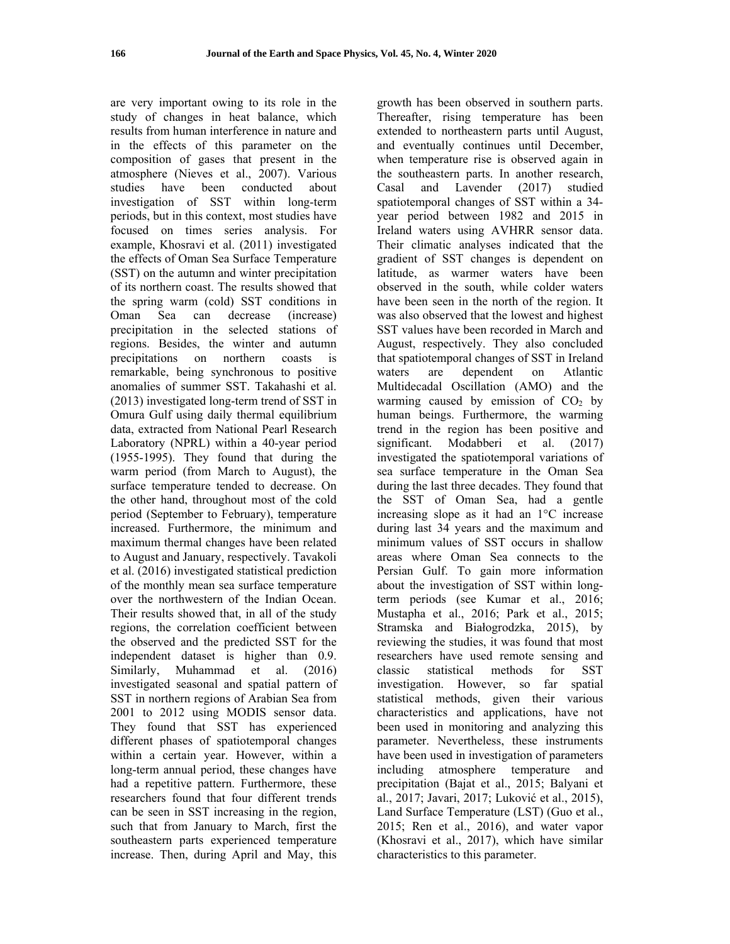are very important owing to its role in the study of changes in heat balance, which results from human interference in nature and in the effects of this parameter on the composition of gases that present in the atmosphere (Nieves et al., 2007). Various studies have been conducted about investigation of SST within long-term periods, but in this context, most studies have focused on times series analysis. For example, Khosravi et al. (2011) investigated the effects of Oman Sea Surface Temperature (SST) on the autumn and winter precipitation of its northern coast. The results showed that the spring warm (cold) SST conditions in Oman Sea can decrease (increase) precipitation in the selected stations of regions. Besides, the winter and autumn precipitations on northern coasts is remarkable, being synchronous to positive anomalies of summer SST. Takahashi et al. (2013) investigated long-term trend of SST in Omura Gulf using daily thermal equilibrium data, extracted from National Pearl Research Laboratory (NPRL) within a 40-year period (1955-1995). They found that during the warm period (from March to August), the surface temperature tended to decrease. On the other hand, throughout most of the cold period (September to February), temperature increased. Furthermore, the minimum and maximum thermal changes have been related to August and January, respectively. Tavakoli et al. (2016) investigated statistical prediction of the monthly mean sea surface temperature over the northwestern of the Indian Ocean. Their results showed that, in all of the study regions, the correlation coefficient between the observed and the predicted SST for the independent dataset is higher than 0.9. Similarly, Muhammad et al. (2016) investigated seasonal and spatial pattern of SST in northern regions of Arabian Sea from 2001 to 2012 using MODIS sensor data. They found that SST has experienced different phases of spatiotemporal changes within a certain year. However, within a long-term annual period, these changes have had a repetitive pattern. Furthermore, these researchers found that four different trends can be seen in SST increasing in the region, such that from January to March, first the southeastern parts experienced temperature increase. Then, during April and May, this

growth has been observed in southern parts. Thereafter, rising temperature has been extended to northeastern parts until August, and eventually continues until December, when temperature rise is observed again in the southeastern parts. In another research, Casal and Lavender (2017) studied spatiotemporal changes of SST within a 34 year period between 1982 and 2015 in Ireland waters using AVHRR sensor data. Their climatic analyses indicated that the gradient of SST changes is dependent on latitude, as warmer waters have been observed in the south, while colder waters have been seen in the north of the region. It was also observed that the lowest and highest SST values have been recorded in March and August, respectively. They also concluded that spatiotemporal changes of SST in Ireland waters are dependent on Atlantic Multidecadal Oscillation (AMO) and the warming caused by emission of  $CO<sub>2</sub>$  by human beings. Furthermore, the warming trend in the region has been positive and significant. Modabberi et al. (2017) investigated the spatiotemporal variations of sea surface temperature in the Oman Sea during the last three decades. They found that the SST of Oman Sea, had a gentle increasing slope as it had an 1°C increase during last 34 years and the maximum and minimum values of SST occurs in shallow areas where Oman Sea connects to the Persian Gulf. To gain more information about the investigation of SST within longterm periods (see Kumar et al., 2016; Mustapha et al., 2016; Park et al., 2015; Stramska and Białogrodzka, 2015), by reviewing the studies, it was found that most researchers have used remote sensing and classic statistical methods for SST investigation. However, so far spatial statistical methods, given their various characteristics and applications, have not been used in monitoring and analyzing this parameter. Nevertheless, these instruments have been used in investigation of parameters including atmosphere temperature and precipitation (Bajat et al., 2015; Balyani et al., 2017; Javari, 2017; Luković et al., 2015), Land Surface Temperature (LST) (Guo et al., 2015; Ren et al., 2016), and water vapor (Khosravi et al., 2017), which have similar characteristics to this parameter.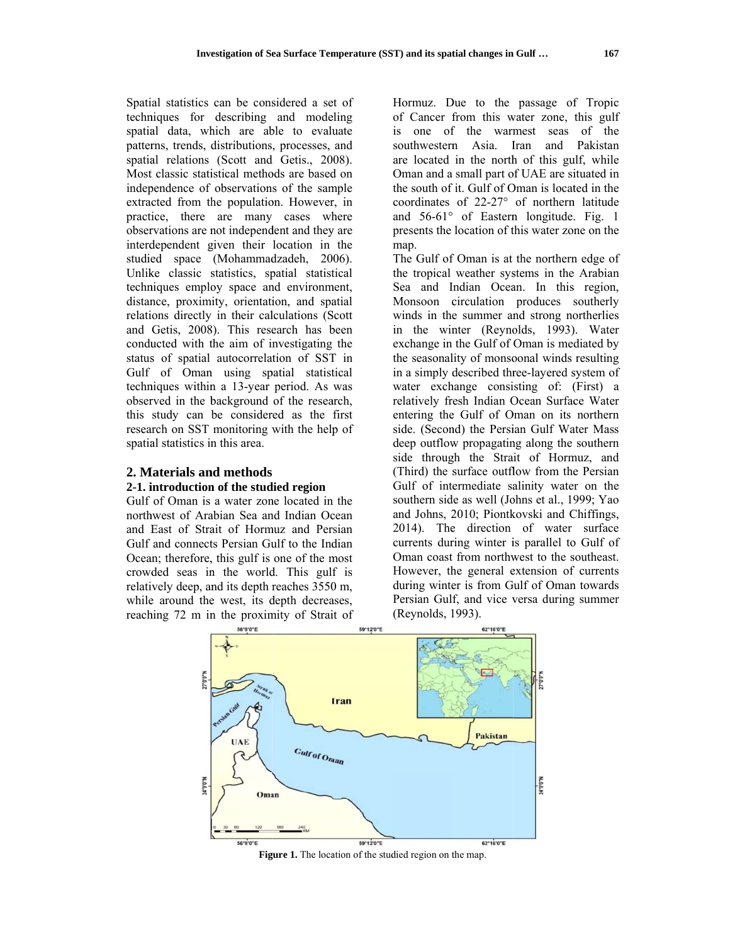Spatial statistics can be considered a set of techniques for describing and modeling spatial data, which are able to evaluate patterns, trends, distributions, processes, and spatial relations (Scott and Getis., 2008). Most classic statistical methods are based on independence of observations of the sample extracted from the population. However, in practice, there are many cases where observations are not independent and they are interdependent given their location in the studied space (Mohammadzadeh, 2006). Unlike classic statistics, spatial statistical techniques employ space and environment, distance, proximity, orientation, and spatial relations directly in their calculations (Scott and Getis, 2008). This research has been conducted with the aim of investigating the status of spatial autocorrelation of SST in Gulf of Oman using spatial statistical techniques within a 13-year period. As was observed in the background of the research, this study can be considered as the first research on SST monitoring with the help of spatial statistics in this area.

# **2. Materials and methods** 2-1. introduction of the studied region

Gulf of Oman is a water zone located in the northwest of Arabian Sea and Indian Ocean and East of Strait of Hormuz and Persian Gulf and connects Persian Gulf to the Indian Ocean; therefore, this gulf is one of the most crowd ded seas in n the world d. This gul f is relatively deep, and its depth reaches 3550 m, while around the west, its depth decreases, reaching 72 m in the proximity of Strait of

Hormuz. Due to the passage of Tropic of Cancer from this water zone, this gulf is one of the warmest seas of the southwestern n Asia. I Iran and Pakistan are located in the north of this gulf, while Oman and a small part of UAE are situated in the south of it. Gulf of Oman is located in the coordinates of 22-27° of northern n latitude and 56-61° of Eastern longitude. Fig. 1 presents the location of this water zone on the map.

The Gulf of Oman is at the northern edge of the tropical weather systems in the Arabian Sea and Indian Ocean. In this region, Monsoon c circulation produces southerly winds in the summer and strong northerlies in the winter (Reynolds, 1993). Water exchange in the Gulf of Oman is me diated by the seasonality of monsoonal winds resulting in a simply described three-layered system of water exchange consisting of: (First) a relatively fresh Indian Ocean Surface Water entering the Gulf of Oman on its northern side. (Second) the Persian Gulf Water Mass deep outflow propagating along the southern side through the Strait of Hormuz, and (Third) the surface outflow from the Persian Gulf of intermediate salinity water on the southern side as well (Johns et al., 1999; Yao and Johns, 2 2010; Piontk kovski and C Chiffings, 2014). The e direction of water surface currents during winter is parallel to Gulf of Oman coast from northwest to the southeast. However, the general extension of currents during winter is from Gulf of Oman towards Persian Gulf, and vice versa during summer (Reynolds, 1 1993).



Figure 1. The location of the studied region on the map.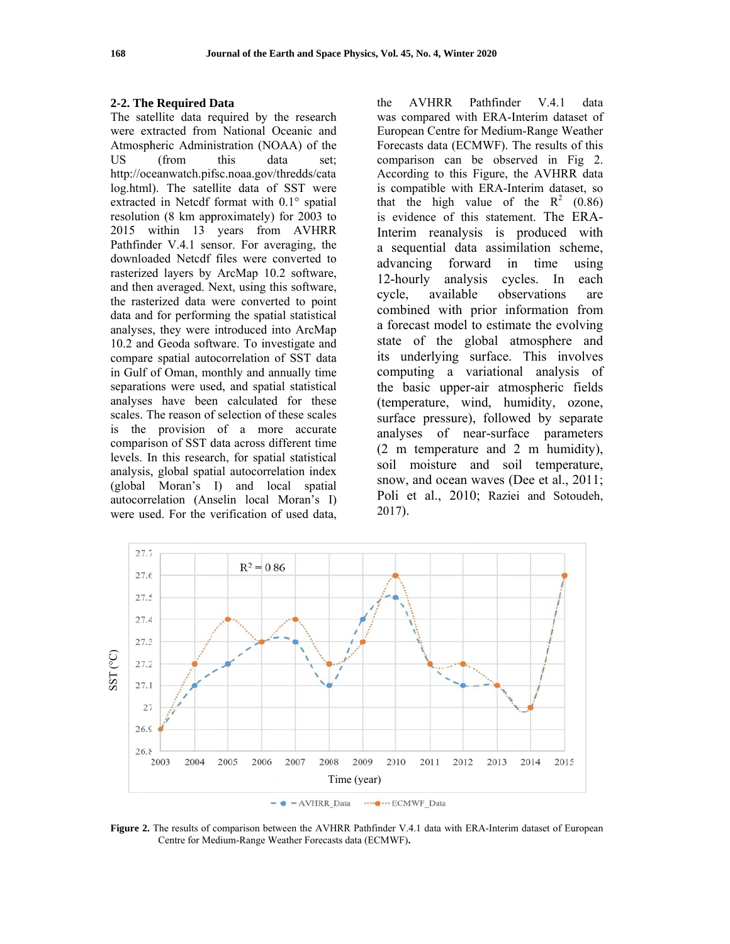#### 2-2. The Required Data

The satellite data required by the research were extracted from National Oceanic and Atmospheric Administration (NOAA) of the **US** (from this data set: http://oceanwatch.pifsc.noaa.gov/thredds/cata log.html). The satellite data of SST were extracted in Netcdf format with 0.1° spatial resolution (8 km approximately) for 2003 to 2015 within 13 years from AVHRR Pathfinder V.4.1 sensor. For averaging, the downloaded Netcdf files were converted to rasterized layers by ArcMap 10.2 software, and then averaged. Next, using this software, the rasterized data were converted to point data and for performing the spatial statistical analyses, they were introduced into ArcMap 10.2 and Geoda software. To investigate and compare spatial autocorrelation of SST data in Gulf of Oman, monthly and annually time separations were used, and spatial statistical analyses have been calculated for these scales. The reason of selection of these scales is the provision of a more accurate comparison of SST data across different time levels. In this research, for spatial statistical analysis, global spatial autocorrelation index (global Moran's I) and local spatial autocorrelation (Anselin local Moran's I) were used. For the verification of used data,

the **AVHRR** Pathfinder  $V.4.1$ data was compared with ERA-Interim dataset of European Centre for Medium-Range Weather Forecasts data (ECMWF). The results of this comparison can be observed in Fig 2. According to this Figure, the AVHRR data is compatible with ERA-Interim dataset, so that the high value of the  $R^2$  (0.86) is evidence of this statement. The ERA-Interim reanalysis is produced with a sequential data assimilation scheme, advancing forward in time using 12-hourly analysis cycles. In each available observations cycle, are combined with prior information from a forecast model to estimate the evolving state of the global atmosphere and its underlying surface. This involves computing a variational analysis of the basic upper-air atmospheric fields (temperature, wind, humidity, ozone, surface pressure), followed by separate analyses of near-surface parameters  $(2 \t m$  temperature and  $2 \t m$  humidity). soil moisture and soil temperature, snow, and ocean waves (Dee et al., 2011; Poli et al., 2010; Raziei and Sotoudeh,  $2017$ ).



Figure 2. The results of comparison between the AVHRR Pathfinder V.4.1 data with ERA-Interim dataset of European Centre for Medium-Range Weather Forecasts data (ECMWF).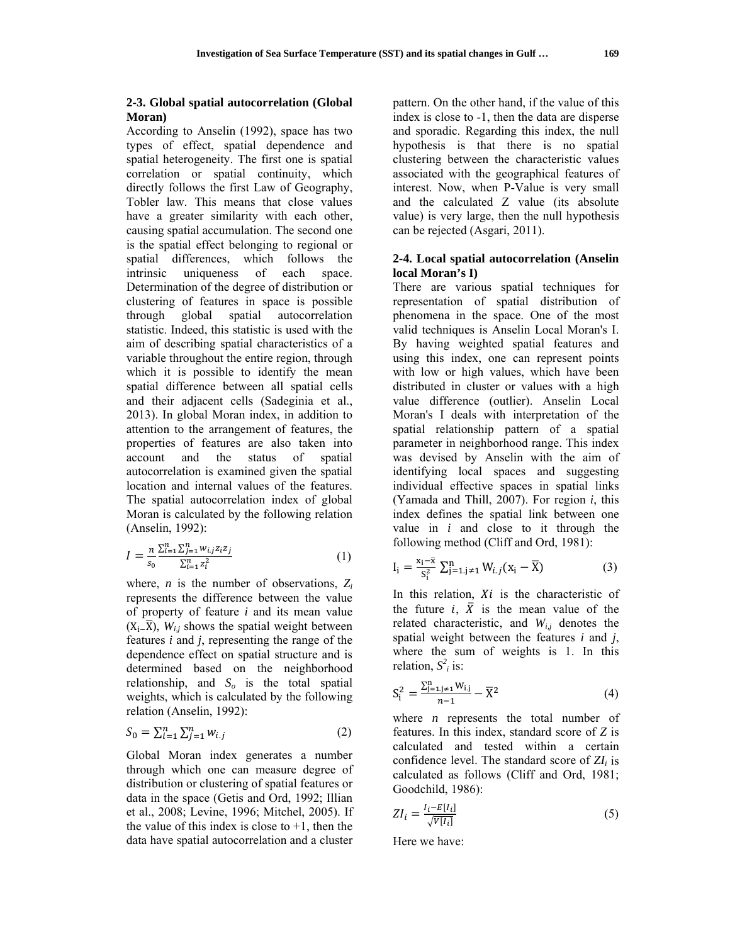## **2-3. Global spatial autocorrelation (Global Moran)**

According to Anselin (1992), space has two types of effect, spatial dependence and spatial heterogeneity. The first one is spatial correlation or spatial continuity, which directly follows the first Law of Geography, Tobler law. This means that close values have a greater similarity with each other, causing spatial accumulation. The second one is the spatial effect belonging to regional or spatial differences, which follows the intrinsic uniqueness of each space. Determination of the degree of distribution or clustering of features in space is possible through global spatial autocorrelation statistic. Indeed, this statistic is used with the aim of describing spatial characteristics of a variable throughout the entire region, through which it is possible to identify the mean spatial difference between all spatial cells and their adjacent cells (Sadeginia et al., 2013). In global Moran index, in addition to attention to the arrangement of features, the properties of features are also taken into account and the status of spatial autocorrelation is examined given the spatial location and internal values of the features. The spatial autocorrelation index of global Moran is calculated by the following relation (Anselin, 1992):

$$
I = \frac{n}{s_0} \frac{\sum_{i=1}^{n} \sum_{j=1}^{n} w_{i,j} z_i z_j}{\sum_{i=1}^{n} z_i^2}
$$
 (1)

where, *n* is the number of observations, *Zi* represents the difference between the value of property of feature *i* and its mean value  $(X_i$ <sub> $\overline{X}$ </sub>, *W<sub>i,j</sub>* shows the spatial weight between features *i* and *j*, representing the range of the dependence effect on spatial structure and is determined based on the neighborhood relationship, and  $S<sub>o</sub>$  is the total spatial weights, which is calculated by the following relation (Anselin, 1992):

$$
S_0 = \sum_{i=1}^n \sum_{j=1}^n w_{i,j}
$$
 (2)

Global Moran index generates a number through which one can measure degree of distribution or clustering of spatial features or data in the space (Getis and Ord, 1992; Illian et al., 2008; Levine, 1996; Mitchel, 2005). If the value of this index is close to  $+1$ , then the data have spatial autocorrelation and a cluster

pattern. On the other hand, if the value of this index is close to -1, then the data are disperse and sporadic. Regarding this index, the null hypothesis is that there is no spatial clustering between the characteristic values associated with the geographical features of interest. Now, when P-Value is very small and the calculated Z value (its absolute value) is very large, then the null hypothesis can be rejected (Asgari, 2011).

### **2-4. Local spatial autocorrelation (Anselin local Moran's I)**

There are various spatial techniques for representation of spatial distribution of phenomena in the space. One of the most valid techniques is Anselin Local Moran's I. By having weighted spatial features and using this index, one can represent points with low or high values, which have been distributed in cluster or values with a high value difference (outlier). Anselin Local Moran's I deals with interpretation of the spatial relationship pattern of a spatial parameter in neighborhood range. This index was devised by Anselin with the aim of identifying local spaces and suggesting individual effective spaces in spatial links (Yamada and Thill, 2007). For region *i*, this index defines the spatial link between one value in *i* and close to it through the following method (Cliff and Ord, 1981):

$$
I_{i} = \frac{x_{i} - \bar{x}}{S_{i}^{2}} \sum_{j=1, j \neq 1}^{n} W_{i,j}(x_{i} - \bar{X})
$$
(3)

In this relation,  $Xi$  is the characteristic of the future  $i$ ,  $\bar{X}$  is the mean value of the related characteristic, and  $W_{i,j}$  denotes the spatial weight between the features *i* and *j*, where the sum of weights is 1. In this relation,  $S^2$ *i* is:

$$
S_i^2 = \frac{\sum_{j=1,j\neq 1}^n W_{i,j}}{n-1} - \overline{X}^2
$$
 (4)

where *n* represents the total number of features. In this index, standard score of *Z* is calculated and tested within a certain confidence level. The standard score of *ZIi* is calculated as follows (Cliff and Ord, 1981; Goodchild, 1986):

$$
ZI_i = \frac{I_i - E[I_i]}{\sqrt{V[I_i]}}
$$
\n<sup>(5)</sup>

Here we have: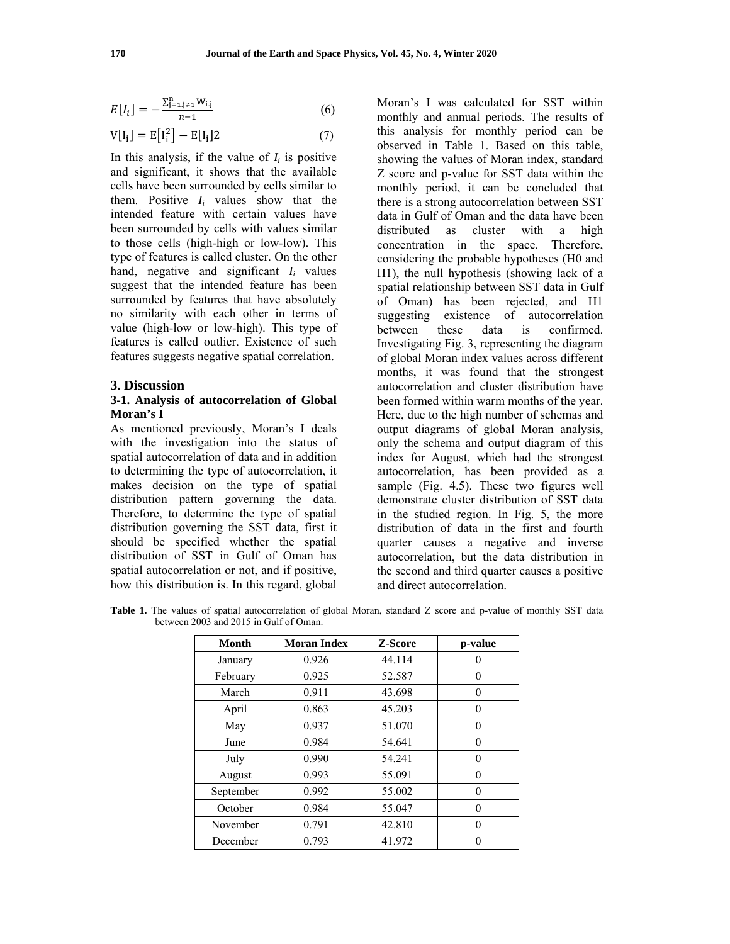$$
E[I_i] = -\frac{\sum_{j=1, j \neq 1}^{n} W_{i,j}}{n-1}
$$
 (6)

$$
V[I_i] = E[I_i^2] - E[I_i]2 \tag{7}
$$

In this analysis, if the value of  $I_i$  is positive and significant, it shows that the available cells have been surrounded by cells similar to them. Positive  $I_i$  values show that the intended feature with certain values have been surrounded by cells with values similar to those cells (high-high or low-low). This type of features is called cluster. On the other hand, negative and significant  $I_i$  values suggest that the intended feature has been surrounded by features that have absolutely no similarity with each other in terms of value (high-low or low-high). This type of features is called outlier. Existence of such features suggests negative spatial correlation.

#### **3. Discussion**

#### **3-1. Analysis of autocorrelation of Global Moran's I**

As mentioned previously, Moran's I deals with the investigation into the status of spatial autocorrelation of data and in addition to determining the type of autocorrelation, it makes decision on the type of spatial distribution pattern governing the data. Therefore, to determine the type of spatial distribution governing the SST data, first it should be specified whether the spatial distribution of SST in Gulf of Oman has spatial autocorrelation or not, and if positive, how this distribution is. In this regard, global Moran's I was calculated for SST within monthly and annual periods. The results of this analysis for monthly period can be observed in Table 1. Based on this table, showing the values of Moran index, standard Z score and p-value for SST data within the monthly period, it can be concluded that there is a strong autocorrelation between SST data in Gulf of Oman and the data have been distributed as cluster with a high concentration in the space. Therefore, considering the probable hypotheses (H0 and H1), the null hypothesis (showing lack of a spatial relationship between SST data in Gulf of Oman) has been rejected, and H1 suggesting existence of autocorrelation between these data is confirmed. Investigating Fig. 3, representing the diagram of global Moran index values across different months, it was found that the strongest autocorrelation and cluster distribution have been formed within warm months of the year. Here, due to the high number of schemas and output diagrams of global Moran analysis, only the schema and output diagram of this index for August, which had the strongest autocorrelation, has been provided as a sample (Fig. 4.5). These two figures well demonstrate cluster distribution of SST data in the studied region. In Fig. 5, the more distribution of data in the first and fourth quarter causes a negative and inverse autocorrelation, but the data distribution in the second and third quarter causes a positive and direct autocorrelation.

| Month     | <b>Moran Index</b> | Z-Score | p-value  |
|-----------|--------------------|---------|----------|
| January   | 0.926              | 44.114  | $\theta$ |
| February  | 0.925              | 52.587  | 0        |
| March     | 0.911              | 43.698  | 0        |
| April     | 0.863              | 45.203  | $\Omega$ |
| May       | 0.937              | 51.070  | $\Omega$ |
| June      | 0.984              | 54.641  | $\Omega$ |
| July      | 0.990              | 54.241  | $\Omega$ |
| August    | 0.993              | 55.091  | $\Omega$ |
| September | 0.992              | 55.002  | 0        |
| October   | 0.984              | 55.047  | $\Omega$ |
| November  | 0.791              | 42.810  | $\Omega$ |
| December  | 0.793              | 41.972  |          |

Table 1. The values of spatial autocorrelation of global Moran, standard Z score and p-value of monthly SST data between 2003 and 2015 in Gulf of Oman.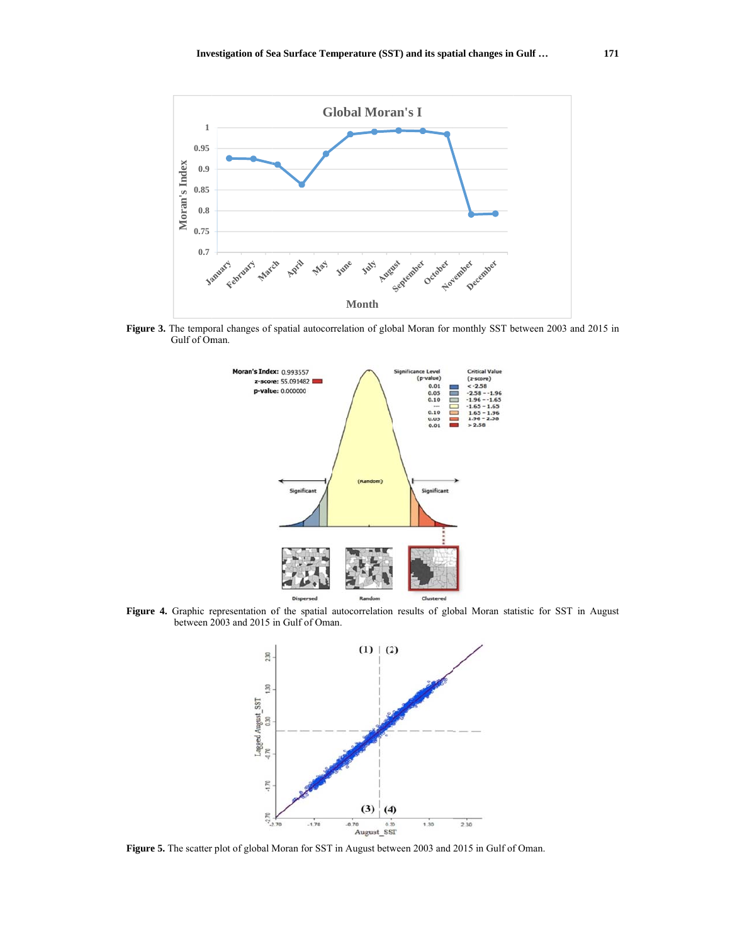

Figure 3. The temporal changes of spatial autocorrelation of global Moran for monthly SST between 2003 and 2015 in Gulf of Oman.



Figure 4. Graphic r between 2 representation o 2003 and 2015 of the spatial in Gulf of Oma autocorrelation an. n results of global Moran statistic for SST in August



**Figure 5.** The scatter plot of global Moran for SST in August between 2003 and 2015 in Gulf of Oman.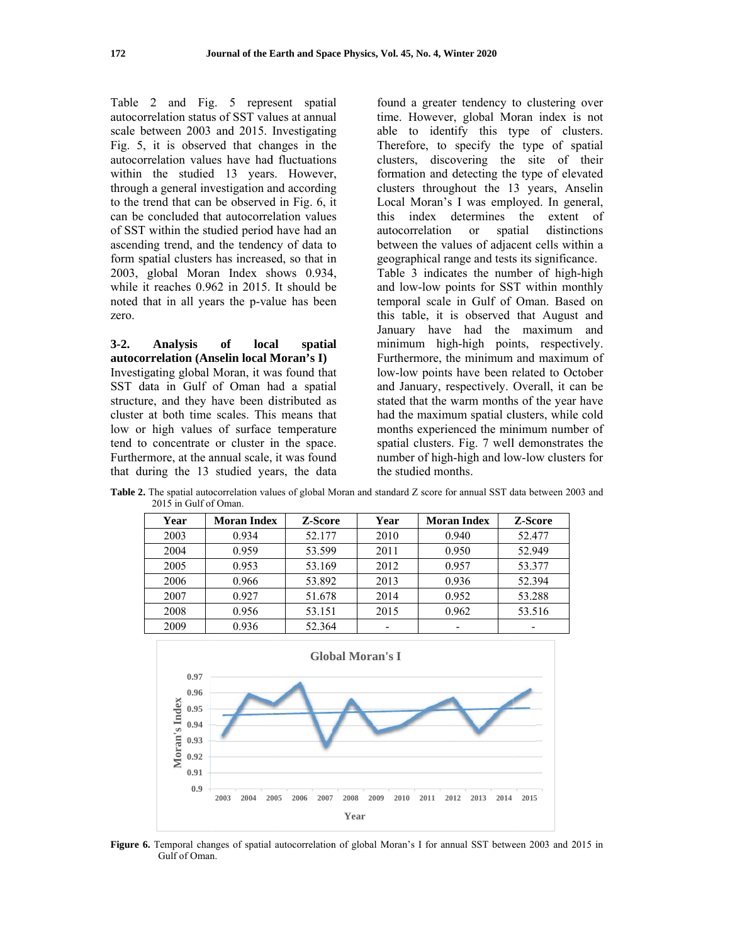Table 2 and Fig. 5 represent spatial autocorrelation status of SST values at annual scale between 2003 and 2015. Investigating Fig. 5, it is observed that changes in the autocorrelation values have had fluctuations within the studied 13 years. However, through a general investigation and according to the trend that can be observed in Fig. 6, it can be concluded that autocorrelation values of SST within the studied period have had an ascending trend, and the tendency of data to form spatial clusters has increased, so that in 2003, global Moran Index shows 0.934, while it reaches 0.962 in 2015. It should be noted that in all years the p-value has been zero.

 $3-2.$ **Analysis** of local spatial autocorrelation (Anselin local Moran's I) Investigating global Moran, it was found that SST data in Gulf of Oman had a spatial structure, and they have been distributed as cluster at both time scales. This means that low or high values of surface temperature tend to concentrate or cluster in the space. Furthermore, at the annual scale, it was found that during the 13 studied years, the data found a greater tendency to clustering over time. However, global Moran index is not able to identify this type of clusters. Therefore, to specify the type of spatial clusters, discovering the site of their formation and detecting the type of elevated clusters throughout the 13 years, Anselin Local Moran's I was employed. In general, index determines the extent of this autocorrelation spatial distinctions  $\alpha$ between the values of adjacent cells within a geographical range and tests its significance. Table 3 indicates the number of high-high and low-low points for SST within monthly temporal scale in Gulf of Oman. Based on this table, it is observed that August and January have had the maximum and minimum high-high points, respectively. Furthermore, the minimum and maximum of low-low points have been related to October and January, respectively. Overall, it can be stated that the warm months of the year have had the maximum spatial clusters, while cold months experienced the minimum number of spatial clusters. Fig. 7 well demonstrates the number of high-high and low-low clusters for the studied months.

Z-Score **Moran Index** Z-Score Year **Moran Index** Year 2003 0.934 52.177 2010 0.940 52.477 0.959 53.599 2011 52.949 2004 0.950 0.953 53.169 0.957 2005 2012 53.377 2006 0.966 53.892 2013 0.936 52.394 2007 0.927 51.678 2014 0.952 53.288 2008 0.956 53.151 2015 0.962 53.516 2009 0.936 52.364  $\Box$  $\omega$  $\omega$ 

Table 2. The spatial autocorrelation values of global Moran and standard Z score for annual SST data between 2003 and 2015 in Gulf of Oman.



Figure 6. Temporal changes of spatial autocorrelation of global Moran's I for annual SST between 2003 and 2015 in Gulf of Oman.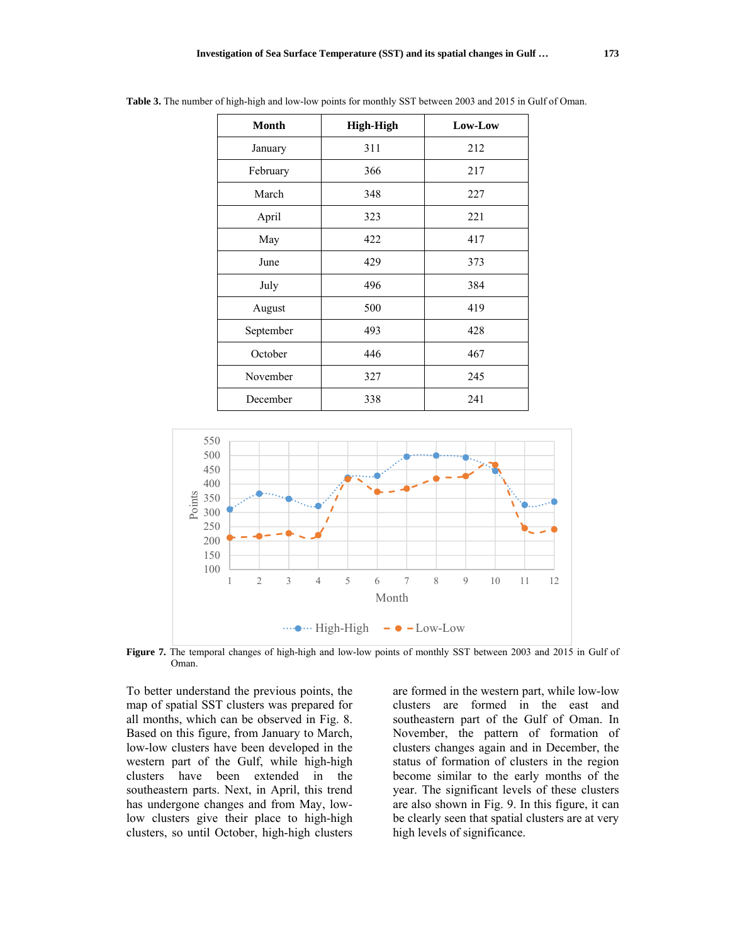| <b>Month</b> | <b>High-High</b> | Low-Low |  |
|--------------|------------------|---------|--|
| January      | 311              | 212     |  |
| February     | 366              | 217     |  |
| March        | 348              | 227     |  |
| April        | 323              | 221     |  |
| May          | 422              | 417     |  |
| June         | 429              | 373     |  |
| July         | 496              | 384     |  |
| August       | 500              | 419     |  |
| September    | 493              | 428     |  |
| October      | 446              | 467     |  |
| November     | 327              | 245     |  |
| December     | 338              | 241     |  |

**Table 3.** The number of high-high and low-low points for monthly SST between 2003 and 2015 in Gulf of Oman.



**Figure 7.** The temporal changes of high-high and low-low points of monthly SST between 2003 and 2015 in Gulf of Oman.

To better understand the previous points, the map of spatial SST clusters was prepared for all months, which can be observed in Fig. 8. Based on this figure, from January to March, low-low clusters have been developed in the western part of the Gulf, while high-high clusters have been extended in the southeastern parts. Next, in April, this trend has undergone changes and from May, lowlow clusters give their place to high-high clusters, so until October, high-high clusters are formed in the western part, while low-low clusters are formed in the east and southeastern part of the Gulf of Oman. In November, the pattern of formation of clusters changes again and in December, the status of formation of clusters in the region become similar to the early months of the year. The significant levels of these clusters are also shown in Fig. 9. In this figure, it can be clearly seen that spatial clusters are at very high levels of significance.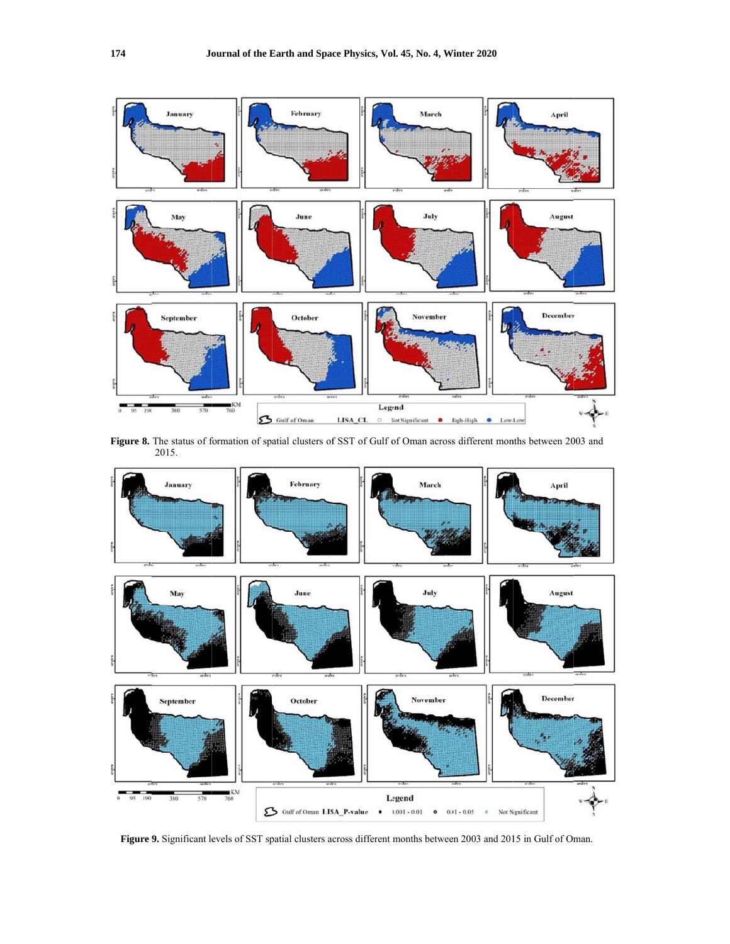

Figure 8. The status of formation of spatial clusters of SST of Gulf of Oman across different months between 2003 and 2015.



Figure 9. Significant levels of SST spatial clusters across different months between 2003 and 2015 in Gulf of Oman.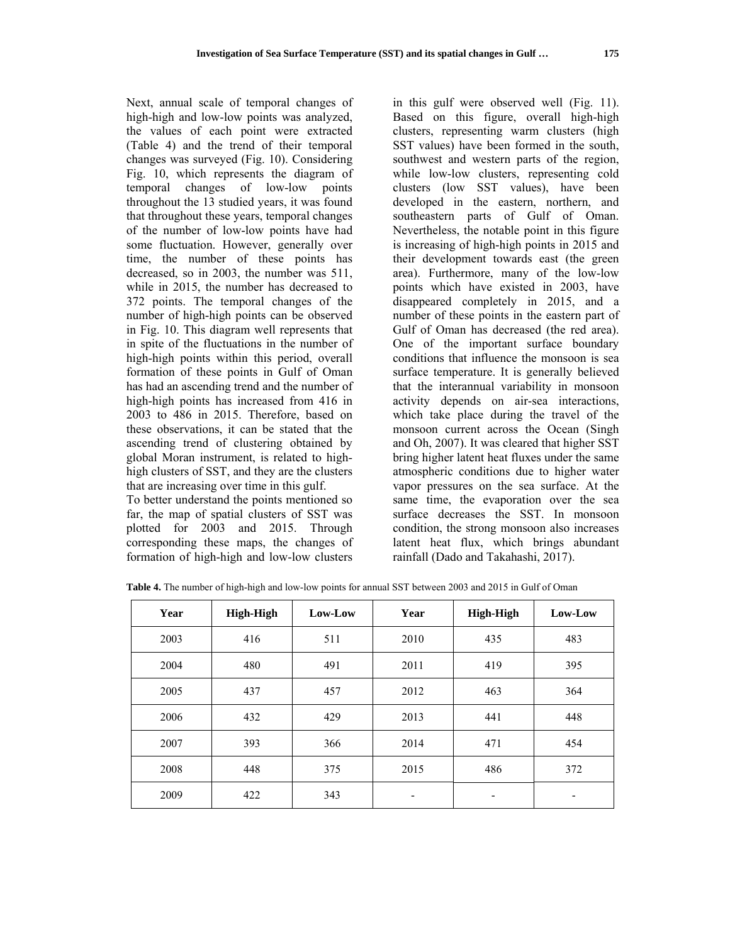Next, annual scale of temporal changes of high-high and low-low points was analyzed, the values of each point were extracted (Table 4) and the trend of their temporal changes was surveyed (Fig. 10). Considering Fig. 10, which represents the diagram of temporal changes of low-low points throughout the 13 studied years, it was found that throughout these years, temporal changes of the number of low-low points have had some fluctuation. However, generally over time, the number of these points has decreased, so in 2003, the number was 511, while in 2015, the number has decreased to 372 points. The temporal changes of the number of high-high points can be observed in Fig. 10. This diagram well represents that in spite of the fluctuations in the number of high-high points within this period, overall formation of these points in Gulf of Oman has had an ascending trend and the number of high-high points has increased from 416 in 2003 to 486 in 2015. Therefore, based on these observations, it can be stated that the ascending trend of clustering obtained by global Moran instrument, is related to highhigh clusters of SST, and they are the clusters that are increasing over time in this gulf.

To better understand the points mentioned so far, the map of spatial clusters of SST was plotted for 2003 and 2015. Through corresponding these maps, the changes of formation of high-high and low-low clusters

in this gulf were observed well (Fig. 11). Based on this figure, overall high-high clusters, representing warm clusters (high SST values) have been formed in the south, southwest and western parts of the region, while low-low clusters, representing cold clusters (low SST values), have been developed in the eastern, northern, and southeastern parts of Gulf of Oman. Nevertheless, the notable point in this figure is increasing of high-high points in 2015 and their development towards east (the green area). Furthermore, many of the low-low points which have existed in 2003, have disappeared completely in 2015, and a number of these points in the eastern part of Gulf of Oman has decreased (the red area). One of the important surface boundary conditions that influence the monsoon is sea surface temperature. It is generally believed that the interannual variability in monsoon activity depends on air-sea interactions, which take place during the travel of the monsoon current across the Ocean (Singh and Oh, 2007). It was cleared that higher SST bring higher latent heat fluxes under the same atmospheric conditions due to higher water vapor pressures on the sea surface. At the same time, the evaporation over the sea surface decreases the SST. In monsoon condition, the strong monsoon also increases latent heat flux, which brings abundant rainfall (Dado and Takahashi, 2017).

| Year | High-High | Low-Low | Year | High-High | Low-Low |
|------|-----------|---------|------|-----------|---------|
| 2003 | 416       | 511     | 2010 | 435       | 483     |
| 2004 | 480       | 491     | 2011 | 419       | 395     |
| 2005 | 437       | 457     | 2012 | 463       | 364     |
| 2006 | 432       | 429     | 2013 | 441       | 448     |
| 2007 | 393       | 366     | 2014 | 471       | 454     |
| 2008 | 448       | 375     | 2015 | 486       | 372     |
| 2009 | 422       | 343     | -    | -         |         |

**Table 4.** The number of high-high and low-low points for annual SST between 2003 and 2015 in Gulf of Oman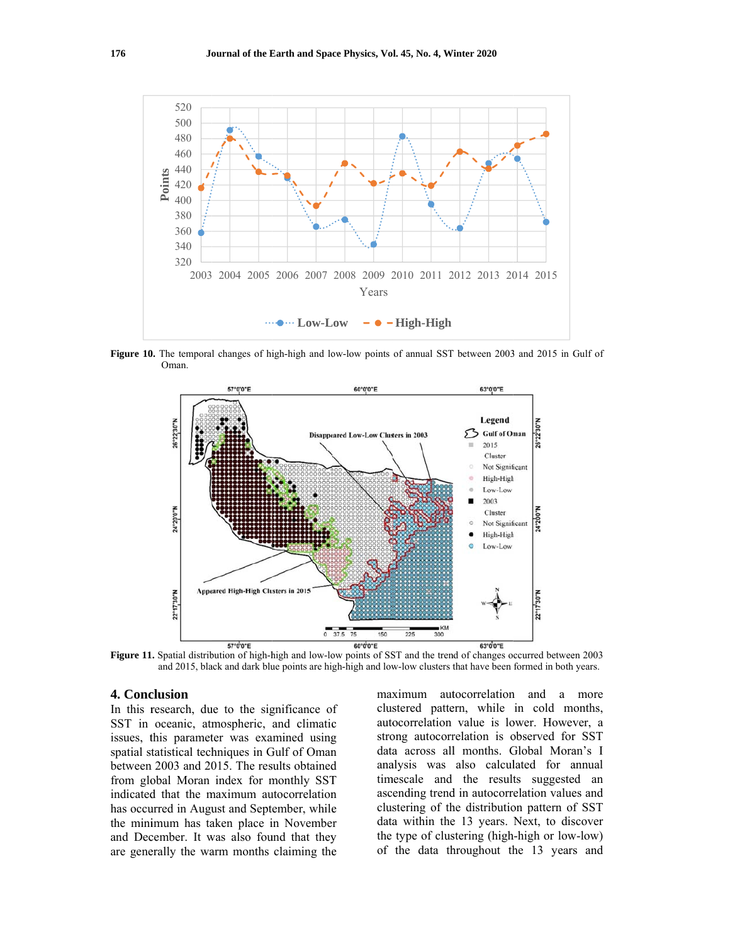

Figure 10. The temporal changes of high-high and low-low points of annual SST between 2003 and 2015 in Gulf of Oman



Figure 11. Spatial distribution of high-high and low-low points of SST and the trend of changes occurred between 2003 and 2015, black and dark blue points are high-high and low-low clusters that have been formed in both years.

### 4. Conclusion

In this research, due to the significance of SST in oceanic, atmospheric, and climatic issues, this parameter was examined using spatial statistical techniques in Gulf of Oman between 2003 and 2015. The results obtained from global Moran index for monthly SST indicated that the maximum autocorrelation has occurred in August and September, while the minimum has taken place in November and December. It was also found that they are generally the warm months claiming the

maximum autocorrelation and a more clustered pattern, while in cold months, autocorrelation value is lower. However, a strong autocorrelation is observed for SST data across all months. Global Moran's I analysis was also calculated for annual timescale and the results suggested an ascending trend in autocorrelation values and clustering of the distribution pattern of SST data within the 13 years. Next, to discover the type of clustering (high-high or low-low) of the data throughout the 13 years and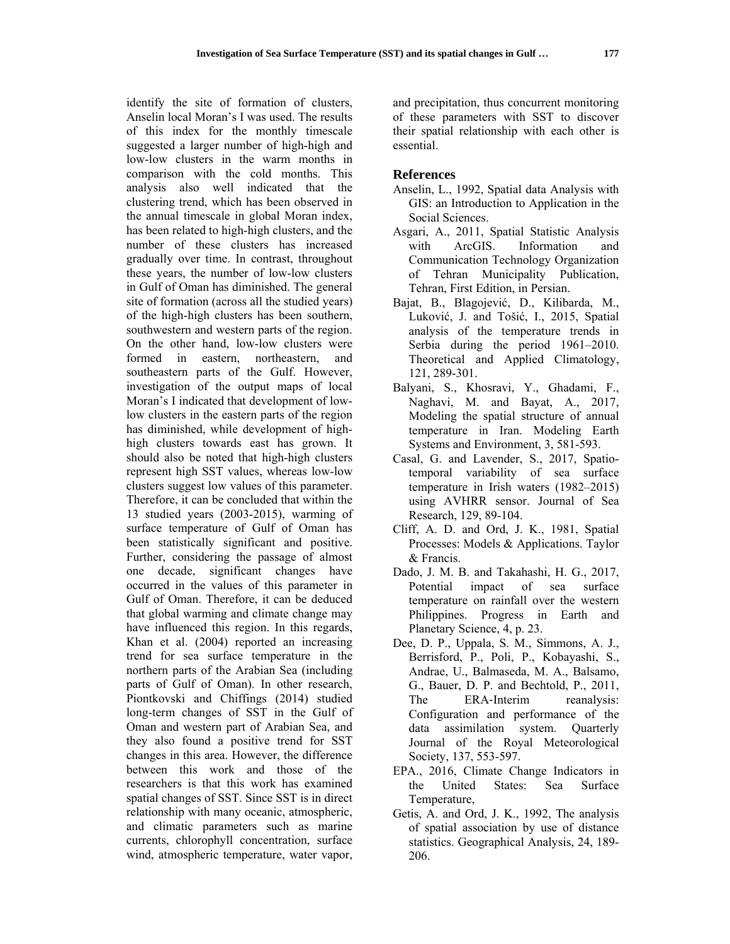identify the site of formation of clusters, Anselin local Moran's I was used. The results of this index for the monthly timescale suggested a larger number of high-high and low-low clusters in the warm months in comparison with the cold months. This analysis also well indicated that the clustering trend, which has been observed in the annual timescale in global Moran index, has been related to high-high clusters, and the number of these clusters has increased gradually over time. In contrast, throughout these years, the number of low-low clusters in Gulf of Oman has diminished. The general site of formation (across all the studied years) of the high-high clusters has been southern, southwestern and western parts of the region. On the other hand, low-low clusters were formed in eastern, northeastern, and southeastern parts of the Gulf. However, investigation of the output maps of local Moran's I indicated that development of lowlow clusters in the eastern parts of the region has diminished, while development of highhigh clusters towards east has grown. It should also be noted that high-high clusters represent high SST values, whereas low-low clusters suggest low values of this parameter. Therefore, it can be concluded that within the 13 studied years (2003-2015), warming of surface temperature of Gulf of Oman has been statistically significant and positive. Further, considering the passage of almost one decade, significant changes have occurred in the values of this parameter in Gulf of Oman. Therefore, it can be deduced that global warming and climate change may have influenced this region. In this regards, Khan et al. (2004) reported an increasing trend for sea surface temperature in the northern parts of the Arabian Sea (including parts of Gulf of Oman). In other research, Piontkovski and Chiffings (2014) studied long-term changes of SST in the Gulf of Oman and western part of Arabian Sea, and they also found a positive trend for SST changes in this area. However, the difference between this work and those of the researchers is that this work has examined spatial changes of SST. Since SST is in direct relationship with many oceanic, atmospheric, and climatic parameters such as marine currents, chlorophyll concentration, surface wind, atmospheric temperature, water vapor,

and precipitation, thus concurrent monitoring of these parameters with SST to discover their spatial relationship with each other is essential.

### **References**

- Anselin, L., 1992, Spatial data Analysis with GIS: an Introduction to Application in the Social Sciences.
- Asgari, A., 2011, Spatial Statistic Analysis with ArcGIS. Information and Communication Technology Organization of Tehran Municipality Publication, Tehran, First Edition, in Persian.
- Bajat, B., Blagojević, D., Kilibarda, M., Luković, J. and Tošić, I., 2015, Spatial analysis of the temperature trends in Serbia during the period 1961–2010. Theoretical and Applied Climatology, 121, 289-301.
- Balyani, S., Khosravi, Y., Ghadami, F., Naghavi, M. and Bayat, A., 2017, Modeling the spatial structure of annual temperature in Iran. Modeling Earth Systems and Environment, 3, 581-593.
- Casal, G. and Lavender, S., 2017, Spatiotemporal variability of sea surface temperature in Irish waters (1982–2015) using AVHRR sensor. Journal of Sea Research, 129, 89-104.
- Cliff, A. D. and Ord, J. K., 1981, Spatial Processes: Models & Applications. Taylor & Francis.
- Dado, J. M. B. and Takahashi, H. G., 2017, Potential impact of sea surface temperature on rainfall over the western Philippines. Progress in Earth and Planetary Science, 4, p. 23.
- Dee, D. P., Uppala, S. M., Simmons, A. J., Berrisford, P., Poli, P., Kobayashi, S., Andrae, U., Balmaseda, M. A., Balsamo, G., Bauer, D. P. and Bechtold, P., 2011, The ERA-Interim reanalysis: Configuration and performance of the data assimilation system. Quarterly Journal of the Royal Meteorological Society, 137, 553-597.
- EPA., 2016, Climate Change Indicators in the United States: Sea Surface Temperature,
- Getis, A. and Ord, J. K., 1992, The analysis of spatial association by use of distance statistics. Geographical Analysis, 24, 189- 206.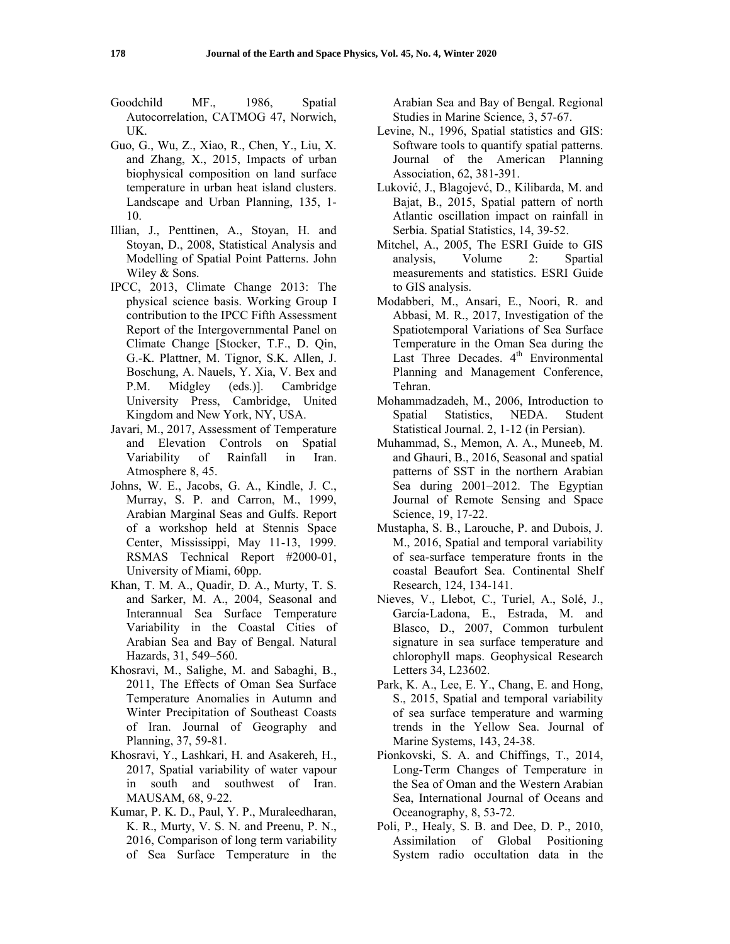- Goodchild MF., 1986, Spatial Autocorrelation, CATMOG 47, Norwich, UK.
- Guo, G., Wu, Z., Xiao, R., Chen, Y., Liu, X. and Zhang, X., 2015, Impacts of urban biophysical composition on land surface temperature in urban heat island clusters. Landscape and Urban Planning, 135, 1- 10.
- Illian, J., Penttinen, A., Stoyan, H. and Stoyan, D., 2008, Statistical Analysis and Modelling of Spatial Point Patterns. John Wiley & Sons.
- IPCC, 2013, Climate Change 2013: The physical science basis. Working Group I contribution to the IPCC Fifth Assessment Report of the Intergovernmental Panel on Climate Change [Stocker, T.F., D. Qin, G.-K. Plattner, M. Tignor, S.K. Allen, J. Boschung, A. Nauels, Y. Xia, V. Bex and P.M. Midgley (eds.)]. Cambridge University Press, Cambridge, United Kingdom and New York, NY, USA.
- Javari, M., 2017, Assessment of Temperature and Elevation Controls on Spatial Variability of Rainfall in Iran. Atmosphere 8, 45.
- Johns, W. E., Jacobs, G. A., Kindle, J. C., Murray, S. P. and Carron, M., 1999, Arabian Marginal Seas and Gulfs. Report of a workshop held at Stennis Space Center, Mississippi, May 11-13, 1999. RSMAS Technical Report #2000-01, University of Miami, 60pp.
- Khan, T. M. A., Quadir, D. A., Murty, T. S. and Sarker, M. A., 2004, Seasonal and Interannual Sea Surface Temperature Variability in the Coastal Cities of Arabian Sea and Bay of Bengal. Natural Hazards, 31, 549–560.
- Khosravi, M., Salighe, M. and Sabaghi, B., 2011, The Effects of Oman Sea Surface Temperature Anomalies in Autumn and Winter Precipitation of Southeast Coasts of Iran. Journal of Geography and Planning, 37, 59-81.
- Khosravi, Y., Lashkari, H. and Asakereh, H., 2017, Spatial variability of water vapour in south and southwest of Iran. MAUSAM, 68, 9-22.
- Kumar, P. K. D., Paul, Y. P., Muraleedharan, K. R., Murty, V. S. N. and Preenu, P. N., 2016, Comparison of long term variability of Sea Surface Temperature in the

Arabian Sea and Bay of Bengal. Regional Studies in Marine Science, 3, 57-67.

- Levine, N., 1996, Spatial statistics and GIS: Software tools to quantify spatial patterns. Journal of the American Planning Association, 62, 381-391.
- Luković, J., Blagojevć, D., Kilibarda, M. and Bajat, B., 2015, Spatial pattern of north Atlantic oscillation impact on rainfall in Serbia. Spatial Statistics, 14, 39-52.
- Mitchel, A., 2005, The ESRI Guide to GIS analysis, Volume 2: Spartial measurements and statistics. ESRI Guide to GIS analysis.
- Modabberi, M., Ansari, E., Noori, R. and Abbasi, M. R., 2017, Investigation of the Spatiotemporal Variations of Sea Surface Temperature in the Oman Sea during the Last Three Decades.  $4<sup>th</sup>$  Environmental Planning and Management Conference, Tehran.
- Mohammadzadeh, M., 2006, Introduction to Spatial Statistics, NEDA. Student Statistical Journal. 2, 1-12 (in Persian).
- Muhammad, S., Memon, A. A., Muneeb, M. and Ghauri, B., 2016, Seasonal and spatial patterns of SST in the northern Arabian Sea during 2001–2012. The Egyptian Journal of Remote Sensing and Space Science, 19, 17-22.
- Mustapha, S. B., Larouche, P. and Dubois, J. M., 2016, Spatial and temporal variability of sea-surface temperature fronts in the coastal Beaufort Sea. Continental Shelf Research, 124, 134-141.
- Nieves, V., Llebot, C., Turiel, A., Solé, J., García‐Ladona, E., Estrada, M. and Blasco, D., 2007, Common turbulent signature in sea surface temperature and chlorophyll maps. Geophysical Research Letters 34, L23602.
- Park, K. A., Lee, E. Y., Chang, E. and Hong, S., 2015, Spatial and temporal variability of sea surface temperature and warming trends in the Yellow Sea. Journal of Marine Systems, 143, 24-38.
- Pionkovski, S. A. and Chiffings, T., 2014, Long-Term Changes of Temperature in the Sea of Oman and the Western Arabian Sea, International Journal of Oceans and Oceanography, 8, 53-72.
- Poli, P., Healy, S. B. and Dee, D. P., 2010, Assimilation of Global Positioning System radio occultation data in the